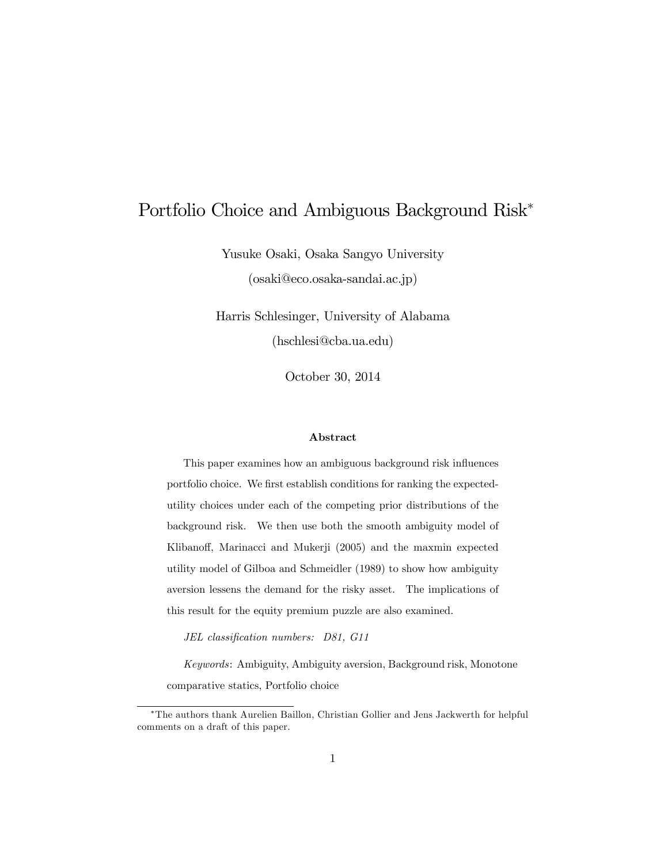# Portfolio Choice and Ambiguous Background Risk

Yusuke Osaki, Osaka Sangyo University (osaki@eco.osaka-sandai.ac.jp)

Harris Schlesinger, University of Alabama (hschlesi@cba.ua.edu)

October 30, 2014

#### Abstract

This paper examines how an ambiguous background risk influences portfolio choice. We first establish conditions for ranking the expectedutility choices under each of the competing prior distributions of the background risk. We then use both the smooth ambiguity model of Klibanoff, Marinacci and Mukerji (2005) and the maxmin expected utility model of Gilboa and Schmeidler (1989) to show how ambiguity aversion lessens the demand for the risky asset. The implications of this result for the equity premium puzzle are also examined.

JEL classification numbers: D81, G11

Keywords: Ambiguity, Ambiguity aversion, Background risk, Monotone comparative statics, Portfolio choice

The authors thank Aurelien Baillon, Christian Gollier and Jens Jackwerth for helpful comments on a draft of this paper.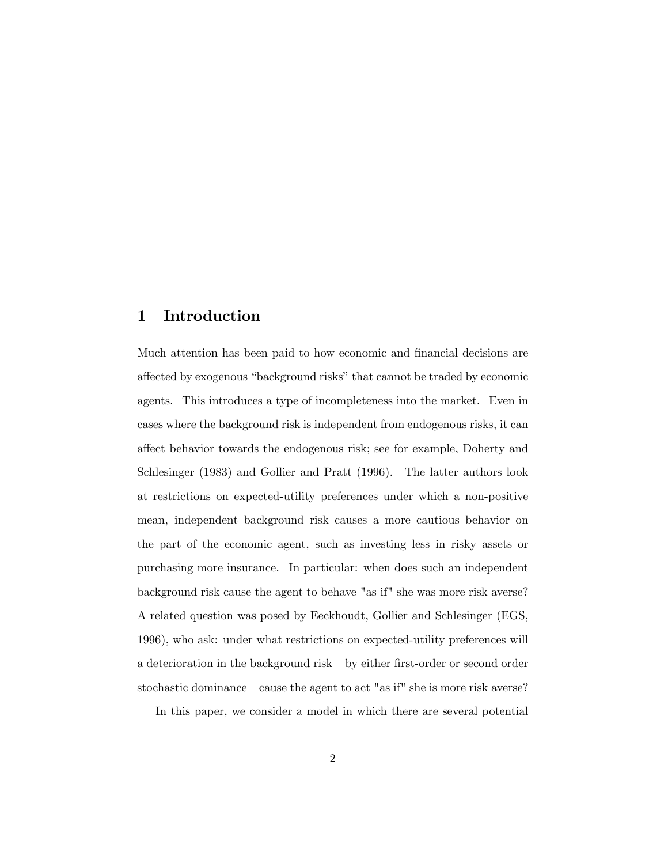#### 1 Introduction

Much attention has been paid to how economic and financial decisions are affected by exogenous "background risks" that cannot be traded by economic agents. This introduces a type of incompleteness into the market. Even in cases where the background risk is independent from endogenous risks, it can affect behavior towards the endogenous risk; see for example, Doherty and Schlesinger (1983) and Gollier and Pratt (1996). The latter authors look at restrictions on expected-utility preferences under which a non-positive mean, independent background risk causes a more cautious behavior on the part of the economic agent, such as investing less in risky assets or purchasing more insurance. In particular: when does such an independent background risk cause the agent to behave "as if" she was more risk averse? A related question was posed by Eeckhoudt, Gollier and Schlesinger (EGS, 1996), who ask: under what restrictions on expected-utility preferences will a deterioration in the background risk  $-$  by either first-order or second order stochastic dominance  $-\text{cause the agent to act "as if" she is more risk averse?}$ 

In this paper, we consider a model in which there are several potential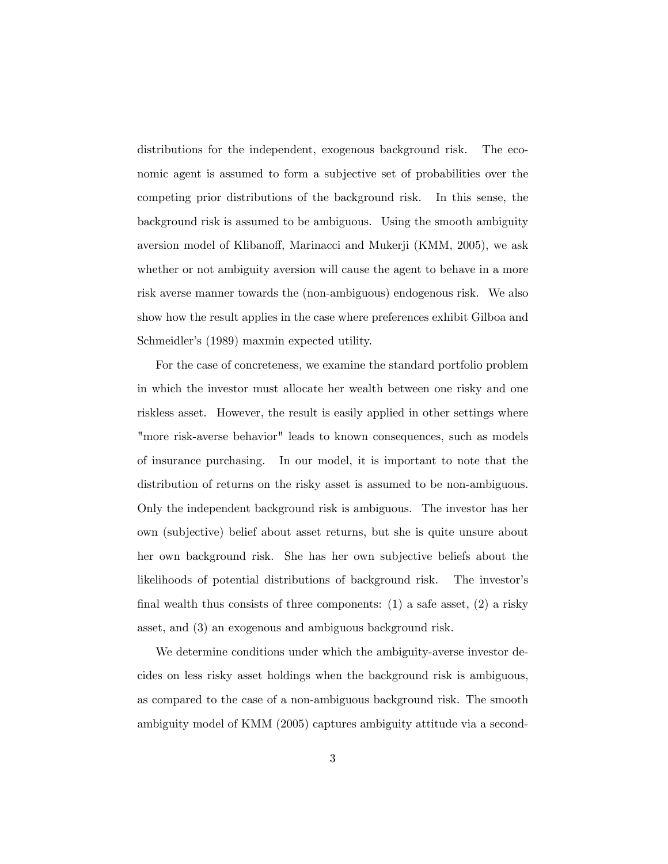distributions for the independent, exogenous background risk. The economic agent is assumed to form a subjective set of probabilities over the competing prior distributions of the background risk. In this sense, the background risk is assumed to be ambiguous. Using the smooth ambiguity aversion model of Klibanoff, Marinacci and Mukerji (KMM, 2005), we ask whether or not ambiguity aversion will cause the agent to behave in a more risk averse manner towards the (non-ambiguous) endogenous risk. We also show how the result applies in the case where preferences exhibit Gilboa and Schmeidler's (1989) maxmin expected utility.

For the case of concreteness, we examine the standard portfolio problem in which the investor must allocate her wealth between one risky and one riskless asset. However, the result is easily applied in other settings where "more risk-averse behavior" leads to known consequences, such as models of insurance purchasing. In our model, it is important to note that the distribution of returns on the risky asset is assumed to be non-ambiguous. Only the independent background risk is ambiguous. The investor has her own (subjective) belief about asset returns, but she is quite unsure about her own background risk. She has her own subjective beliefs about the likelihoods of potential distributions of background risk. The investor's final wealth thus consists of three components:  $(1)$  a safe asset,  $(2)$  a risky asset, and (3) an exogenous and ambiguous background risk.

We determine conditions under which the ambiguity-averse investor decides on less risky asset holdings when the background risk is ambiguous, as compared to the case of a non-ambiguous background risk. The smooth ambiguity model of KMM (2005) captures ambiguity attitude via a second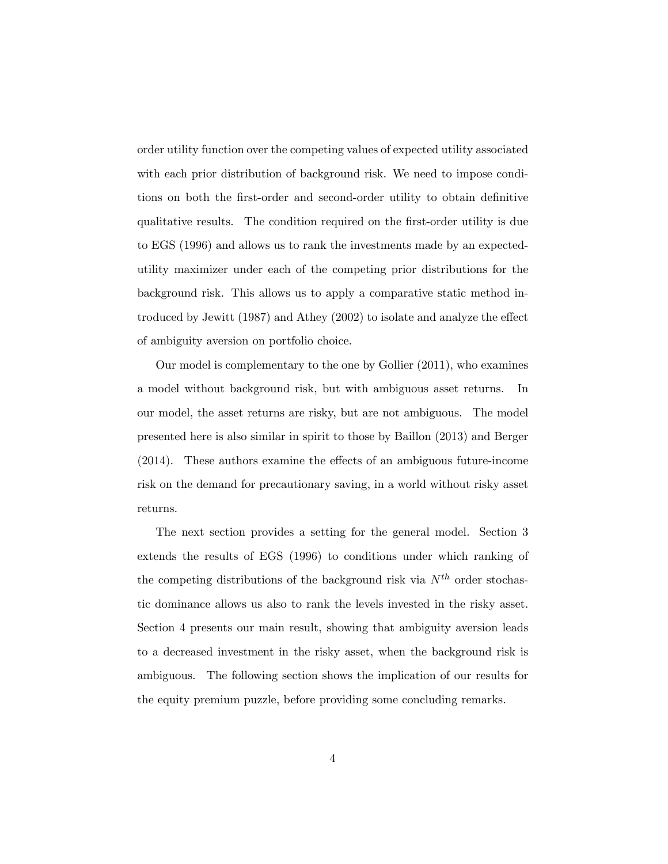order utility function over the competing values of expected utility associated with each prior distribution of background risk. We need to impose conditions on both the first-order and second-order utility to obtain definitive qualitative results. The condition required on the Örst-order utility is due to EGS (1996) and allows us to rank the investments made by an expectedutility maximizer under each of the competing prior distributions for the background risk. This allows us to apply a comparative static method introduced by Jewitt  $(1987)$  and Athey  $(2002)$  to isolate and analyze the effect of ambiguity aversion on portfolio choice.

Our model is complementary to the one by Gollier (2011), who examines a model without background risk, but with ambiguous asset returns. In our model, the asset returns are risky, but are not ambiguous. The model presented here is also similar in spirit to those by Baillon (2013) and Berger  $(2014)$ . These authors examine the effects of an ambiguous future-income risk on the demand for precautionary saving, in a world without risky asset returns.

The next section provides a setting for the general model. Section 3 extends the results of EGS (1996) to conditions under which ranking of the competing distributions of the background risk via  $N^{th}$  order stochastic dominance allows us also to rank the levels invested in the risky asset. Section 4 presents our main result, showing that ambiguity aversion leads to a decreased investment in the risky asset, when the background risk is ambiguous. The following section shows the implication of our results for the equity premium puzzle, before providing some concluding remarks.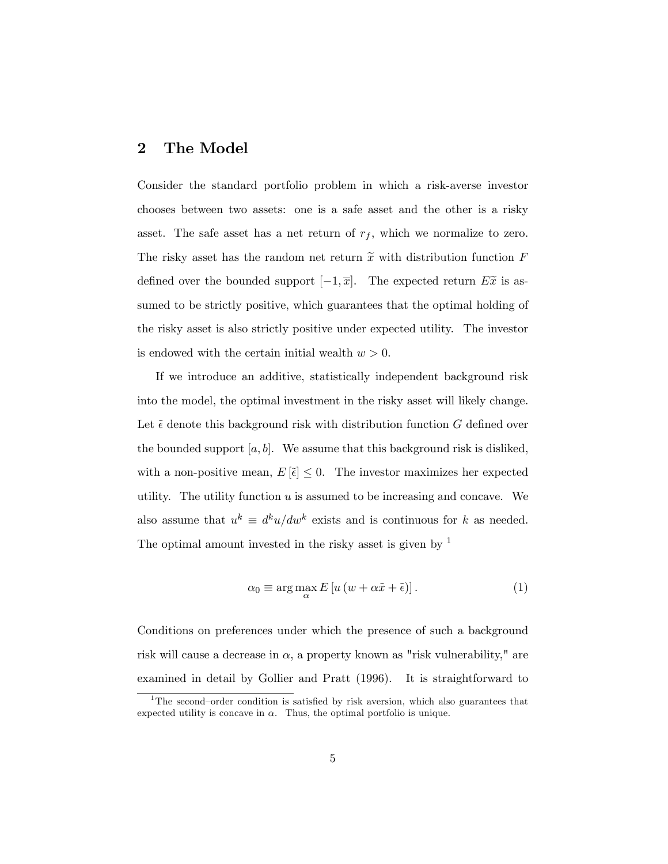### 2 The Model

Consider the standard portfolio problem in which a risk-averse investor chooses between two assets: one is a safe asset and the other is a risky asset. The safe asset has a net return of  $r_f$ , which we normalize to zero. The risky asset has the random net return  $\tilde{x}$  with distribution function F defined over the bounded support  $[-1, \overline{x}]$ . The expected return  $E\tilde{x}$  is assumed to be strictly positive, which guarantees that the optimal holding of the risky asset is also strictly positive under expected utility. The investor is endowed with the certain initial wealth  $w > 0$ .

If we introduce an additive, statistically independent background risk into the model, the optimal investment in the risky asset will likely change. Let  $\tilde{\epsilon}$  denote this background risk with distribution function G defined over the bounded support  $[a, b]$ . We assume that this background risk is disliked, with a non-positive mean,  $E[\tilde{\epsilon}] \leq 0$ . The investor maximizes her expected utility. The utility function  $u$  is assumed to be increasing and concave. We also assume that  $u^k \equiv d^k u/dw^k$  exists and is continuous for k as needed. The optimal amount invested in the risky asset is given by  $<sup>1</sup>$ </sup>

$$
\alpha_0 \equiv \arg \max_{\alpha} E \left[ u \left( w + \alpha \tilde{x} + \tilde{\epsilon} \right) \right]. \tag{1}
$$

Conditions on preferences under which the presence of such a background risk will cause a decrease in  $\alpha$ , a property known as "risk vulnerability," are examined in detail by Gollier and Pratt (1996). It is straightforward to

<sup>&</sup>lt;sup>1</sup>The second–order condition is satisfied by risk aversion, which also guarantees that expected utility is concave in  $\alpha$ . Thus, the optimal portfolio is unique.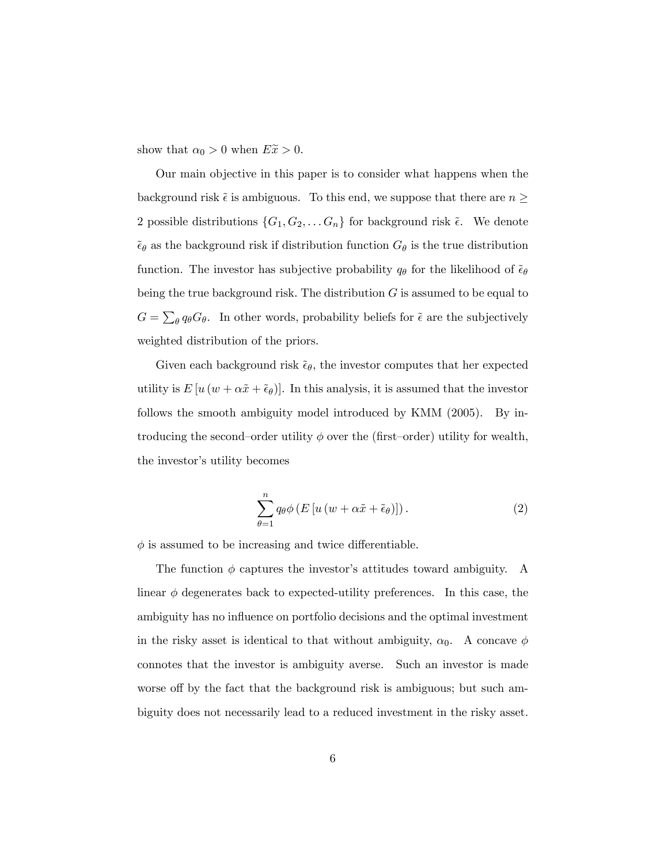show that  $\alpha_0 > 0$  when  $E\tilde{x} > 0$ .

Our main objective in this paper is to consider what happens when the background risk  $\tilde{\epsilon}$  is ambiguous. To this end, we suppose that there are  $n \geq$ 2 possible distributions  $\{G_1, G_2, \ldots, G_n\}$  for background risk  $\tilde{\epsilon}$ . We denote  $\tilde{\epsilon}_{\theta}$  as the background risk if distribution function  $G_{\theta}$  is the true distribution function. The investor has subjective probability  $q_{\theta}$  for the likelihood of  $\tilde{\epsilon}_{\theta}$ being the true background risk. The distribution  $G$  is assumed to be equal to  $G = \sum_{\theta} q_{\theta} G_{\theta}$ . In other words, probability beliefs for  $\tilde{\epsilon}$  are the subjectively weighted distribution of the priors.

Given each background risk  $\tilde{\epsilon}_{\theta}$ , the investor computes that her expected utility is  $E[u(w + \alpha \tilde{x} + \tilde{\epsilon}_{\theta})]$ . In this analysis, it is assumed that the investor follows the smooth ambiguity model introduced by KMM (2005). By introducing the second-order utility  $\phi$  over the (first-order) utility for wealth, the investor's utility becomes

$$
\sum_{\theta=1}^{n} q_{\theta} \phi \left( E \left[ u \left( w + \alpha \tilde{x} + \tilde{\epsilon}_{\theta} \right) \right] \right). \tag{2}
$$

 $\phi$  is assumed to be increasing and twice differentiable.

The function  $\phi$  captures the investor's attitudes toward ambiguity. A linear  $\phi$  degenerates back to expected-utility preferences. In this case, the ambiguity has no influence on portfolio decisions and the optimal investment in the risky asset is identical to that without ambiguity,  $\alpha_0$ . A concave  $\phi$ connotes that the investor is ambiguity averse. Such an investor is made worse off by the fact that the background risk is ambiguous; but such ambiguity does not necessarily lead to a reduced investment in the risky asset.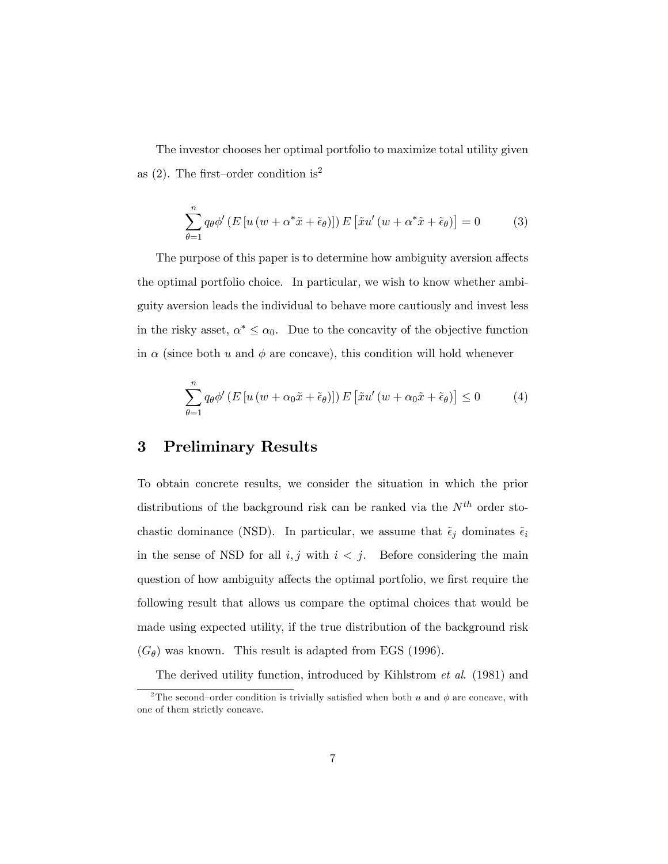The investor chooses her optimal portfolio to maximize total utility given as (2). The first–order condition is<sup>2</sup>

$$
\sum_{\theta=1}^{n} q_{\theta} \phi' (E \left[ u \left( w + \alpha^* \tilde{x} + \tilde{\epsilon}_{\theta} \right) \right]) E \left[ \tilde{x} u' \left( w + \alpha^* \tilde{x} + \tilde{\epsilon}_{\theta} \right) \right] = 0 \tag{3}
$$

The purpose of this paper is to determine how ambiguity aversion affects the optimal portfolio choice. In particular, we wish to know whether ambiguity aversion leads the individual to behave more cautiously and invest less in the risky asset,  $\alpha^* \leq \alpha_0$ . Due to the concavity of the objective function in  $\alpha$  (since both u and  $\phi$  are concave), this condition will hold whenever

$$
\sum_{\theta=1}^{n} q_{\theta} \phi' \left( E \left[ u \left( w + \alpha_0 \tilde{x} + \tilde{\epsilon}_{\theta} \right) \right] \right) E \left[ \tilde{x} u' \left( w + \alpha_0 \tilde{x} + \tilde{\epsilon}_{\theta} \right) \right] \leq 0 \tag{4}
$$

### 3 Preliminary Results

To obtain concrete results, we consider the situation in which the prior distributions of the background risk can be ranked via the  $N^{th}$  order stochastic dominance (NSD). In particular, we assume that  $\tilde{\epsilon}_j$  dominates  $\tilde{\epsilon}_i$ in the sense of NSD for all  $i, j$  with  $i < j$ . Before considering the main question of how ambiguity affects the optimal portfolio, we first require the following result that allows us compare the optimal choices that would be made using expected utility, if the true distribution of the background risk  $(G_{\theta})$  was known. This result is adapted from EGS (1996).

The derived utility function, introduced by Kihlstrom et al. (1981) and

<sup>&</sup>lt;sup>2</sup>The second-order condition is trivially satisfied when both u and  $\phi$  are concave, with one of them strictly concave.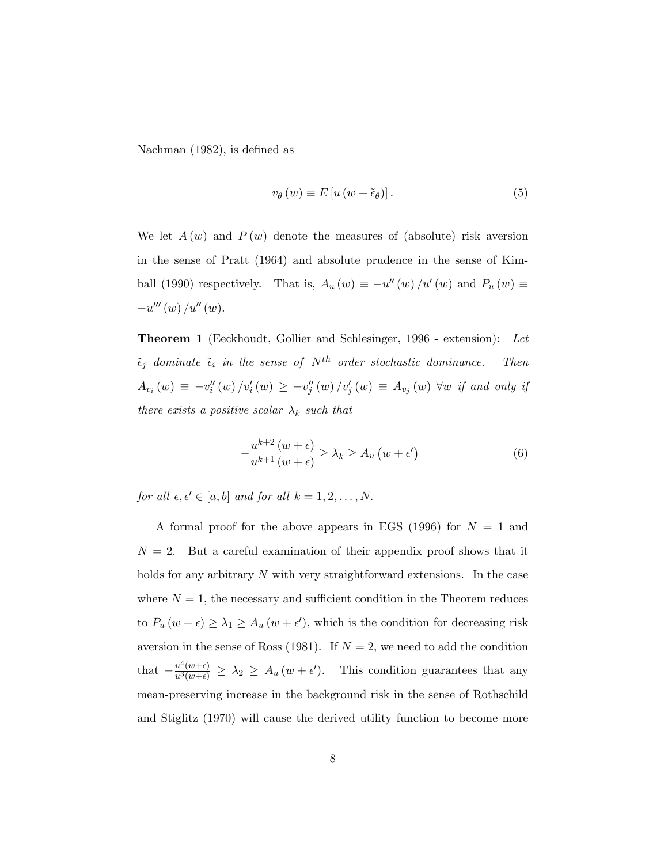Nachman  $(1982)$ , is defined as

$$
v_{\theta}(w) \equiv E\left[u\left(w + \tilde{\epsilon}_{\theta}\right)\right].\tag{5}
$$

We let  $A(w)$  and  $P(w)$  denote the measures of (absolute) risk aversion in the sense of Pratt (1964) and absolute prudence in the sense of Kimball (1990) respectively. That is,  $A_u(w) \equiv -u''(w)/u'(w)$  and  $P_u(w) \equiv$  $-u'''(w)/u''(w).$ 

Theorem 1 (Eeckhoudt, Gollier and Schlesinger, 1996 - extension): Let  $\tilde{\epsilon}_j$  dominate  $\tilde{\epsilon}_i$  in the sense of  $N^{th}$  order stochastic dominance. Then  $A_{v_i}(w) \equiv -v_i''(w) / v_i'(w) \ge -v_j''(w) / v_j'(w) \equiv A_{v_j}(w)$   $\forall w$  if and only if there exists a positive scalar  $\lambda_k$  such that

$$
-\frac{u^{k+2}(w+\epsilon)}{u^{k+1}(w+\epsilon)} \ge \lambda_k \ge A_u(w+\epsilon')
$$
 (6)

for all  $\epsilon, \epsilon' \in [a, b]$  and for all  $k = 1, 2, \ldots, N$ .

A formal proof for the above appears in EGS (1996) for  $N = 1$  and  $N = 2$ . But a careful examination of their appendix proof shows that it holds for any arbitrary N with very straightforward extensions. In the case where  $N = 1$ , the necessary and sufficient condition in the Theorem reduces to  $P_u(w+\epsilon) \geq \lambda_1 \geq A_u(w+\epsilon')$ , which is the condition for decreasing risk aversion in the sense of Ross (1981). If  $N = 2$ , we need to add the condition that  $-\frac{u^4(w+\epsilon)}{u^3(w+\epsilon)} \geq \lambda_2 \geq A_u(w+\epsilon')$ . This condition guarantees that any mean-preserving increase in the background risk in the sense of Rothschild and Stiglitz (1970) will cause the derived utility function to become more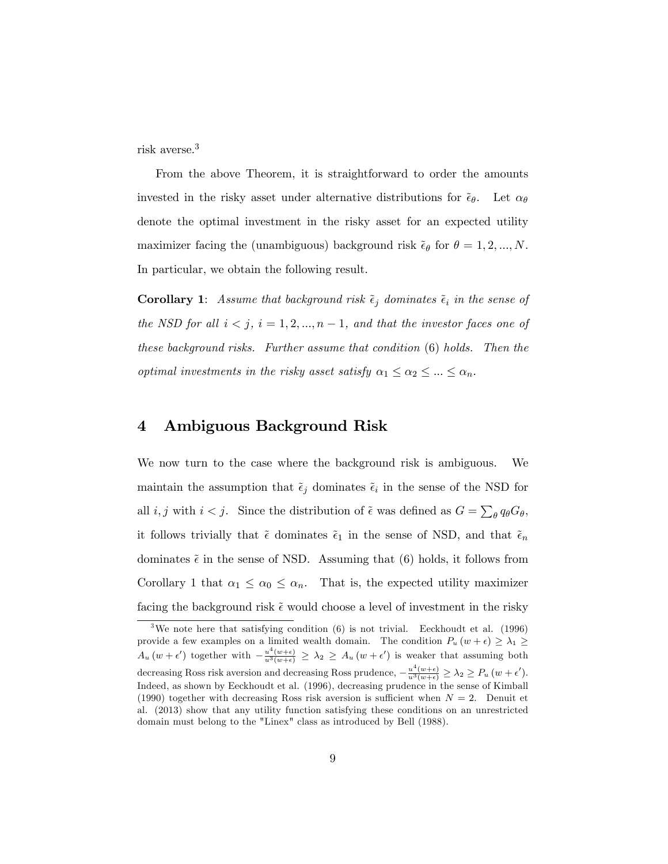risk averse.<sup>3</sup>

From the above Theorem, it is straightforward to order the amounts invested in the risky asset under alternative distributions for  $\tilde{\epsilon}_{\theta}$ . Let  $\alpha_{\theta}$ denote the optimal investment in the risky asset for an expected utility maximizer facing the (unambiguous) background risk  $\tilde{\epsilon}_{\theta}$  for  $\theta = 1, 2, ..., N$ . In particular, we obtain the following result.

**Corollary 1:** Assume that background risk  $\tilde{\epsilon}_j$  dominates  $\tilde{\epsilon}_i$  in the sense of the NSD for all  $i < j$ ,  $i = 1, 2, ..., n - 1$ , and that the investor faces one of these background risks. Further assume that condition (6) holds. Then the optimal investments in the risky asset satisfy  $\alpha_1 \leq \alpha_2 \leq ... \leq \alpha_n$ .

#### 4 Ambiguous Background Risk

We now turn to the case where the background risk is ambiguous. We maintain the assumption that  $\tilde{\epsilon}_j$  dominates  $\tilde{\epsilon}_i$  in the sense of the NSD for all *i*, *j* with  $i < j$ . Since the distribution of  $\tilde{\epsilon}$  was defined as  $G = \sum_{\theta} q_{\theta} G_{\theta}$ , it follows trivially that  $\tilde{\epsilon}$  dominates  $\tilde{\epsilon}_1$  in the sense of NSD, and that  $\tilde{\epsilon}_n$ dominates  $\tilde{\epsilon}$  in the sense of NSD. Assuming that (6) holds, it follows from Corollary 1 that  $\alpha_1 \leq \alpha_0 \leq \alpha_n$ . That is, the expected utility maximizer facing the background risk  $\tilde{\epsilon}$  would choose a level of investment in the risky

<sup>&</sup>lt;sup>3</sup>We note here that satisfying condition  $(6)$  is not trivial. Eeckhoudt et al.  $(1996)$ provide a few examples on a limited wealth domain. The condition  $P_u(w + \epsilon) \geq \lambda_1 \geq$  $A_u(w+\epsilon')$  together with  $-\frac{u^4(w+\epsilon)}{u^3(w+\epsilon)} \geq \lambda_2 \geq A_u(w+\epsilon')$  is weaker that assuming both decreasing Ross risk aversion and decreasing Ross prudence,  $-\frac{u^4(w+\epsilon)}{u^3(w+\epsilon)} \geq \lambda_2 \geq P_u(w+\epsilon')$ . Indeed, as shown by Eeckhoudt et al. (1996), decreasing prudence in the sense of Kimball (1990) together with decreasing Ross risk aversion is sufficient when  $N = 2$ . Denuit et al. (2013) show that any utility function satisfying these conditions on an unrestricted domain must belong to the "Linex" class as introduced by Bell (1988).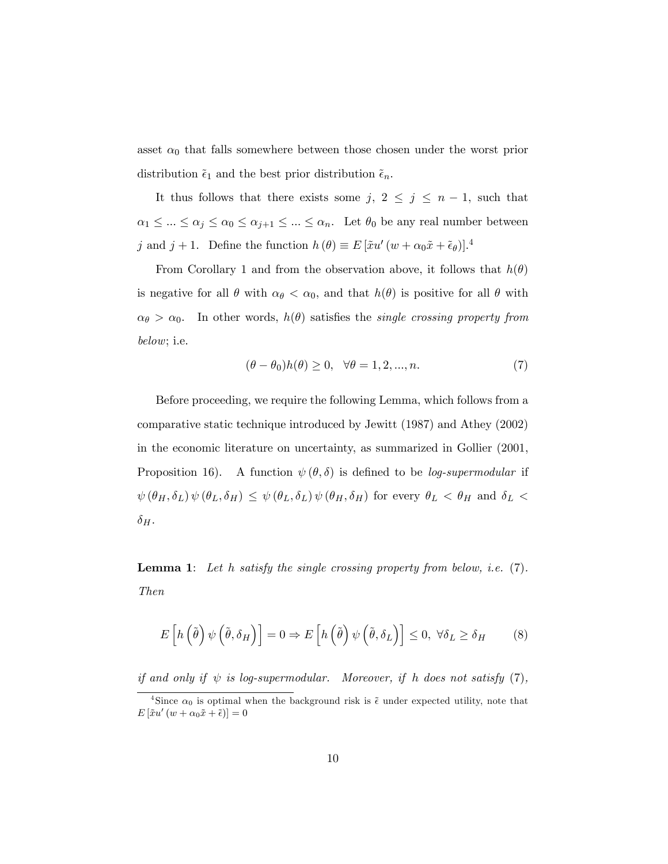asset  $\alpha_0$  that falls somewhere between those chosen under the worst prior distribution  $\tilde{\epsilon}_1$  and the best prior distribution  $\tilde{\epsilon}_n$ .

It thus follows that there exists some j,  $2 \leq j \leq n - 1$ , such that  $\alpha_1 \leq \ldots \leq \alpha_j \leq \alpha_0 \leq \alpha_{j+1} \leq \ldots \leq \alpha_n$ . Let  $\theta_0$  be any real number between j and  $j + 1$ . Define the function  $h(\theta) \equiv E [\tilde{x}u'(w + \alpha_0 \tilde{x} + \tilde{\epsilon}_{\theta})]$ .<sup>4</sup>

From Corollary 1 and from the observation above, it follows that  $h(\theta)$ is negative for all  $\theta$  with  $\alpha_{\theta} < \alpha_0$ , and that  $h(\theta)$  is positive for all  $\theta$  with  $\alpha_{\theta} > \alpha_{0}$ . In other words,  $h(\theta)$  satisfies the *single crossing property from* below; i.e.

$$
(\theta - \theta_0)h(\theta) \ge 0, \quad \forall \theta = 1, 2, ..., n. \tag{7}
$$

Before proceeding, we require the following Lemma, which follows from a comparative static technique introduced by Jewitt (1987) and Athey (2002) in the economic literature on uncertainty, as summarized in Gollier (2001, Proposition 16). A function  $\psi(\theta, \delta)$  is defined to be *log-supermodular* if  $\psi\left(\theta_{H},\delta_{L}\right)\psi\left(\theta_{L},\delta_{H}\right)\,\leq\,\psi\left(\theta_{L},\delta_{L}\right)\psi\left(\theta_{H},\delta_{H}\right)\,\,\text{for every}\,\,\theta_{L}\,<\,\theta_{H}\,\,\text{and}\,\,\delta_{L}\,<\,$  $\delta_H$ .

**Lemma 1:** Let h satisfy the single crossing property from below, *i.e.*  $(7)$ . Then

$$
E\left[h\left(\tilde{\theta}\right)\psi\left(\tilde{\theta},\delta_H\right)\right] = 0 \Rightarrow E\left[h\left(\tilde{\theta}\right)\psi\left(\tilde{\theta},\delta_L\right)\right] \le 0, \ \forall \delta_L \ge \delta_H \tag{8}
$$

if and only if  $\psi$  is log-supermodular. Moreover, if h does not satisfy (7),

<sup>&</sup>lt;sup>4</sup>Since  $\alpha_0$  is optimal when the background risk is  $\tilde{\epsilon}$  under expected utility, note that  $E\left[\tilde{x}u'\left(w+\alpha_0\tilde{x}+\tilde{\epsilon}\right)\right]=0$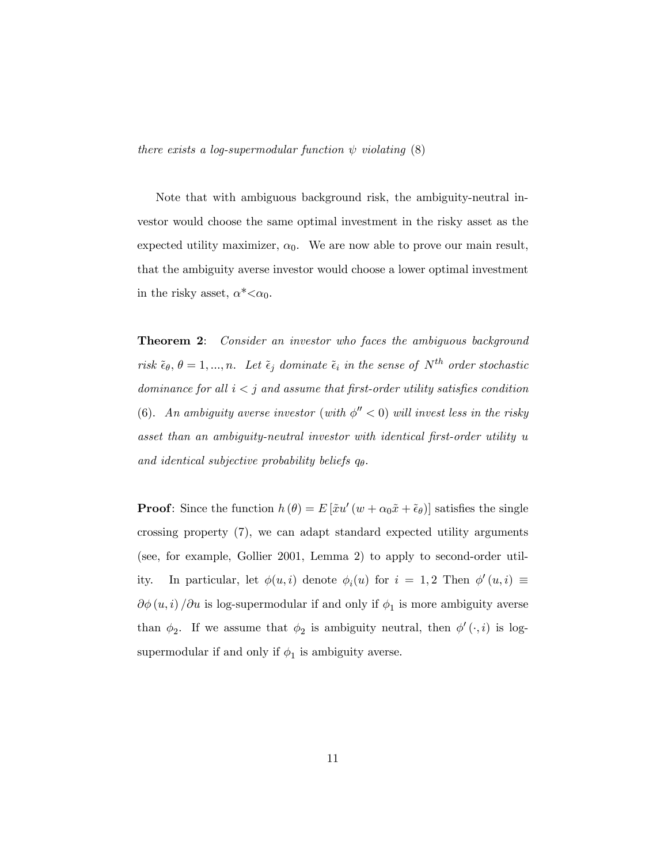Note that with ambiguous background risk, the ambiguity-neutral investor would choose the same optimal investment in the risky asset as the expected utility maximizer,  $\alpha_0$ . We are now able to prove our main result, that the ambiguity averse investor would choose a lower optimal investment in the risky asset,  $\alpha^* < \alpha_0$ .

**Theorem 2:** Consider an investor who faces the ambiguous background risk  $\tilde{\epsilon}_{\theta}$ ,  $\theta = 1, ..., n$ . Let  $\tilde{\epsilon}_{j}$  dominate  $\tilde{\epsilon}_{i}$  in the sense of  $N^{th}$  order stochastic dominance for all  $i < j$  and assume that first-order utility satisfies condition (6). An ambiguity averse investor (with  $\phi'' < 0$ ) will invest less in the risky asset than an ambiguity-neutral investor with identical first-order utility u and identical subjective probability beliefs  $q_{\theta}$ .

**Proof**: Since the function  $h(\theta) = E[\tilde{x}u'(w + \alpha_0 \tilde{x} + \tilde{\epsilon}_{\theta})]$  satisfies the single crossing property (7), we can adapt standard expected utility arguments (see, for example, Gollier 2001, Lemma 2) to apply to second-order utility. In particular, let  $\phi(u, i)$  denote  $\phi_i(u)$  for  $i = 1, 2$  Then  $\phi'(u, i) \equiv$  $\partial \phi(u, i) / \partial u$  is log-supermodular if and only if  $\phi_1$  is more ambiguity averse than  $\phi_2$ . If we assume that  $\phi_2$  is ambiguity neutral, then  $\phi'(\cdot, i)$  is logsupermodular if and only if  $\phi_1$  is ambiguity averse.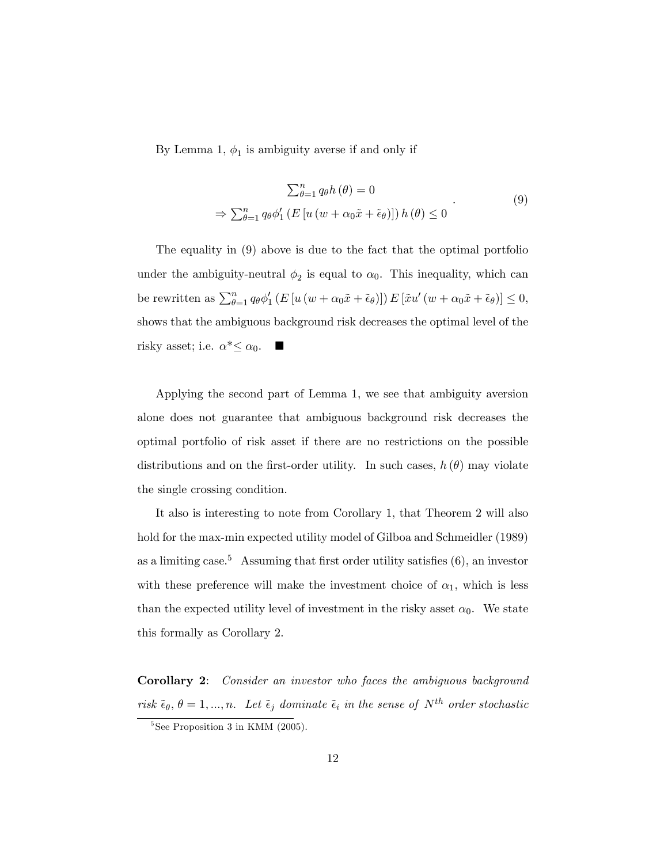By Lemma 1,  $\phi_1$  is ambiguity averse if and only if

$$
\sum_{\theta=1}^{n} q_{\theta} h(\theta) = 0
$$
  
\n
$$
\Rightarrow \sum_{\theta=1}^{n} q_{\theta} \phi_{1}' \left( E \left[ u \left( w + \alpha_{0} \tilde{x} + \tilde{\epsilon}_{\theta} \right) \right] \right) h(\theta) \le 0
$$
\n(9)

The equality in (9) above is due to the fact that the optimal portfolio under the ambiguity-neutral  $\phi_2$  is equal to  $\alpha_0$ . This inequality, which can be rewritten as  $\sum_{\theta=1}^{n} q_{\theta} \phi'_{1} (E [u (w + \alpha_0 \tilde{x} + \tilde{\epsilon}_{\theta})]) E [\tilde{x} u' (w + \alpha_0 \tilde{x} + \tilde{\epsilon}_{\theta})] \leq 0,$ shows that the ambiguous background risk decreases the optimal level of the risky asset; i.e.  $\alpha^* \leq \alpha_0$ .

Applying the second part of Lemma 1, we see that ambiguity aversion alone does not guarantee that ambiguous background risk decreases the optimal portfolio of risk asset if there are no restrictions on the possible distributions and on the first-order utility. In such cases,  $h(\theta)$  may violate the single crossing condition.

It also is interesting to note from Corollary 1, that Theorem 2 will also hold for the max-min expected utility model of Gilboa and Schmeidler (1989) as a limiting case.<sup>5</sup> Assuming that first order utility satisfies  $(6)$ , an investor with these preference will make the investment choice of  $\alpha_1$ , which is less than the expected utility level of investment in the risky asset  $\alpha_0$ . We state this formally as Corollary 2.

Corollary 2: Consider an investor who faces the ambiguous background risk  $\tilde{\epsilon}_{\theta}, \theta = 1, ..., n$ . Let  $\tilde{\epsilon}_j$  dominate  $\tilde{\epsilon}_i$  in the sense of  $N^{th}$  order stochastic

<sup>5</sup> See Proposition 3 in KMM (2005).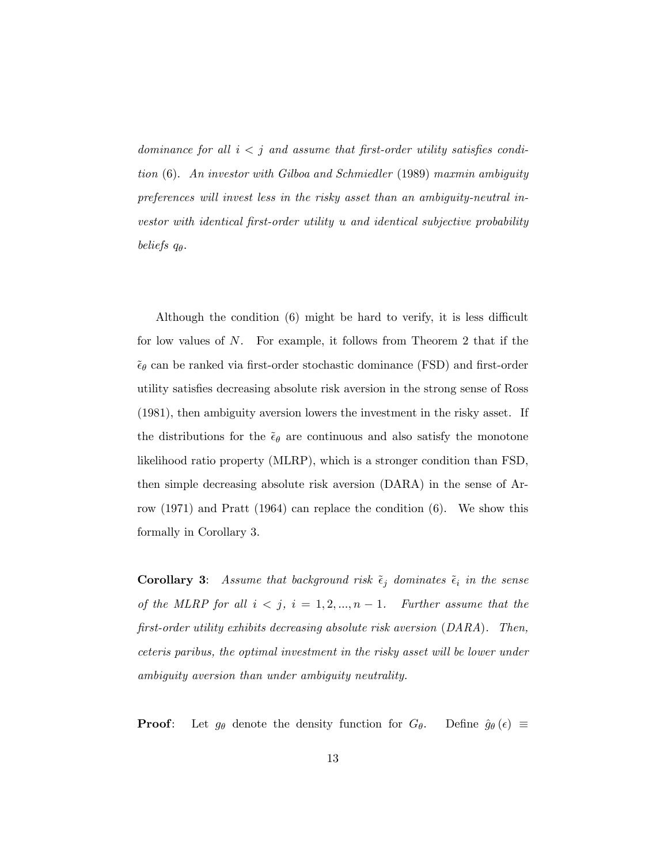dominance for all  $i < j$  and assume that first-order utility satisfies condition (6). An investor with Gilboa and Schmiedler (1989) maxmin ambiguity preferences will invest less in the risky asset than an ambiguity-neutral investor with identical first-order utility u and identical subjective probability beliefs  $q_{\theta}$ .

Although the condition  $(6)$  might be hard to verify, it is less difficult for low values of N. For example, it follows from Theorem 2 that if the  $\tilde{\epsilon}_{\theta}$  can be ranked via first-order stochastic dominance (FSD) and first-order utility satisÖes decreasing absolute risk aversion in the strong sense of Ross (1981), then ambiguity aversion lowers the investment in the risky asset. If the distributions for the  $\tilde{\epsilon}_{\theta}$  are continuous and also satisfy the monotone likelihood ratio property (MLRP), which is a stronger condition than FSD, then simple decreasing absolute risk aversion (DARA) in the sense of Arrow (1971) and Pratt (1964) can replace the condition (6). We show this formally in Corollary 3.

**Corollary 3:** Assume that background risk  $\tilde{\epsilon}_j$  dominates  $\tilde{\epsilon}_i$  in the sense of the MLRP for all  $i < j$ ,  $i = 1, 2, ..., n - 1$ . Further assume that the  $first-order$  utility exhibits decreasing absolute risk aversion  $(DARA)$ . Then, ceteris paribus, the optimal investment in the risky asset will be lower under ambiguity aversion than under ambiguity neutrality.

**Proof:** Let  $g_{\theta}$  denote the density function for  $G_{\theta}$ . Define  $\hat{g}_{\theta}(\epsilon) \equiv$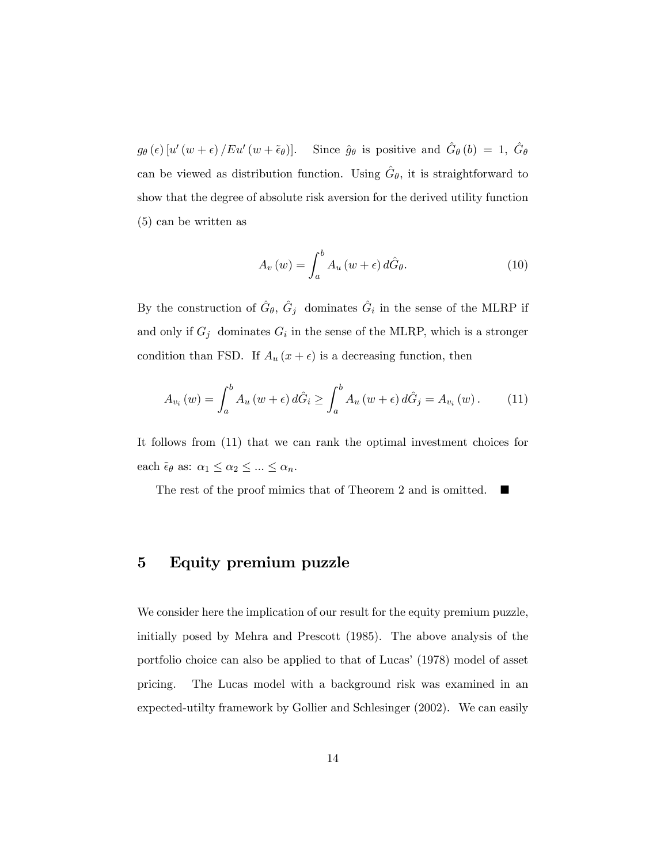$g_{\theta}(\epsilon)$  [u' (w +  $\epsilon$ ) / Eu' (w +  $\tilde{\epsilon}_{\theta}$ )]. Since  $\hat{g}_{\theta}$  is positive and  $\hat{G}_{\theta}(b) = 1$ ,  $\hat{G}_{\theta}$ can be viewed as distribution function. Using  $\hat{G}_{\theta}$ , it is straightforward to show that the degree of absolute risk aversion for the derived utility function (5) can be written as

$$
A_v(w) = \int_a^b A_u(w + \epsilon) d\hat{G}_{\theta}.
$$
 (10)

By the construction of  $\hat{G}_{\theta}$ ,  $\hat{G}_{j}$  dominates  $\hat{G}_{i}$  in the sense of the MLRP if and only if  $G_j$  dominates  $G_i$  in the sense of the MLRP, which is a stronger condition than FSD. If  $A_u(x + \epsilon)$  is a decreasing function, then

$$
A_{v_i}(w) = \int_a^b A_u(w + \epsilon) d\hat{G}_i \ge \int_a^b A_u(w + \epsilon) d\hat{G}_j = A_{v_i}(w).
$$
 (11)

It follows from (11) that we can rank the optimal investment choices for each  $\tilde{\epsilon}_{\theta}$  as:  $\alpha_1 \leq \alpha_2 \leq ... \leq \alpha_n$ .

The rest of the proof mimics that of Theorem 2 and is omitted.  $\blacksquare$ 

## 5 Equity premium puzzle

We consider here the implication of our result for the equity premium puzzle, initially posed by Mehra and Prescott (1985). The above analysis of the portfolio choice can also be applied to that of Lucas' (1978) model of asset pricing. The Lucas model with a background risk was examined in an expected-utilty framework by Gollier and Schlesinger (2002). We can easily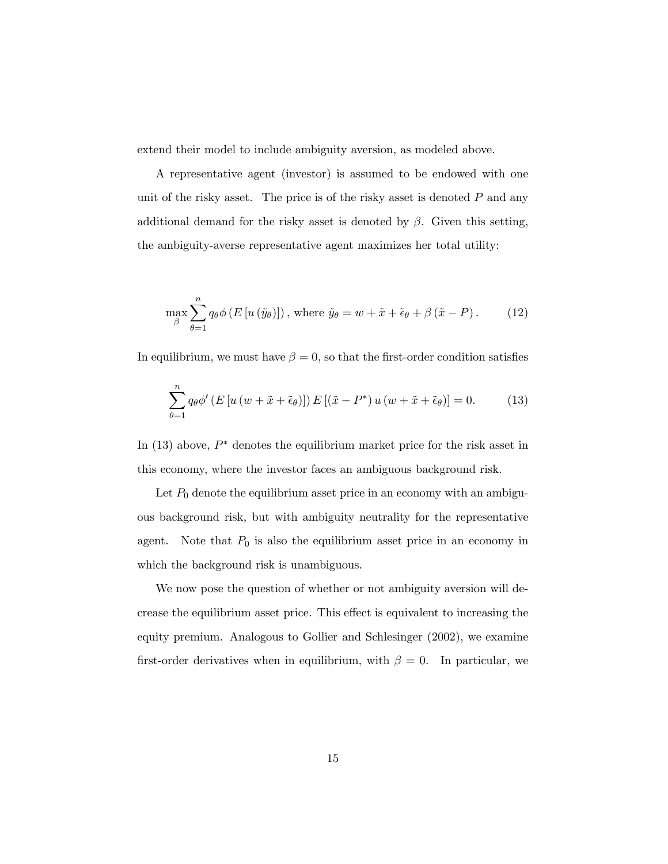extend their model to include ambiguity aversion, as modeled above.

A representative agent (investor) is assumed to be endowed with one unit of the risky asset. The price is of the risky asset is denoted  $P$  and any additional demand for the risky asset is denoted by  $\beta$ . Given this setting, the ambiguity-averse representative agent maximizes her total utility:

$$
\max_{\beta} \sum_{\theta=1}^{n} q_{\theta} \phi \left( E \left[ u \left( \tilde{y}_{\theta} \right) \right] \right), \text{ where } \tilde{y}_{\theta} = w + \tilde{x} + \tilde{\epsilon}_{\theta} + \beta \left( \tilde{x} - P \right). \tag{12}
$$

In equilibrium, we must have  $\beta = 0$ , so that the first-order condition satisfies

$$
\sum_{\theta=1}^{n} q_{\theta} \phi' \left( E \left[ u \left( w + \tilde{x} + \tilde{\epsilon}_{\theta} \right) \right] \right) E \left[ \left( \tilde{x} - P^* \right) u \left( w + \tilde{x} + \tilde{\epsilon}_{\theta} \right) \right] = 0. \tag{13}
$$

In  $(13)$  above,  $P^*$  denotes the equilibrium market price for the risk asset in this economy, where the investor faces an ambiguous background risk.

Let  $P_0$  denote the equilibrium asset price in an economy with an ambiguous background risk, but with ambiguity neutrality for the representative agent. Note that  $P_0$  is also the equilibrium asset price in an economy in which the background risk is unambiguous.

We now pose the question of whether or not ambiguity aversion will decrease the equilibrium asset price. This effect is equivalent to increasing the equity premium. Analogous to Gollier and Schlesinger (2002), we examine first-order derivatives when in equilibrium, with  $\beta = 0$ . In particular, we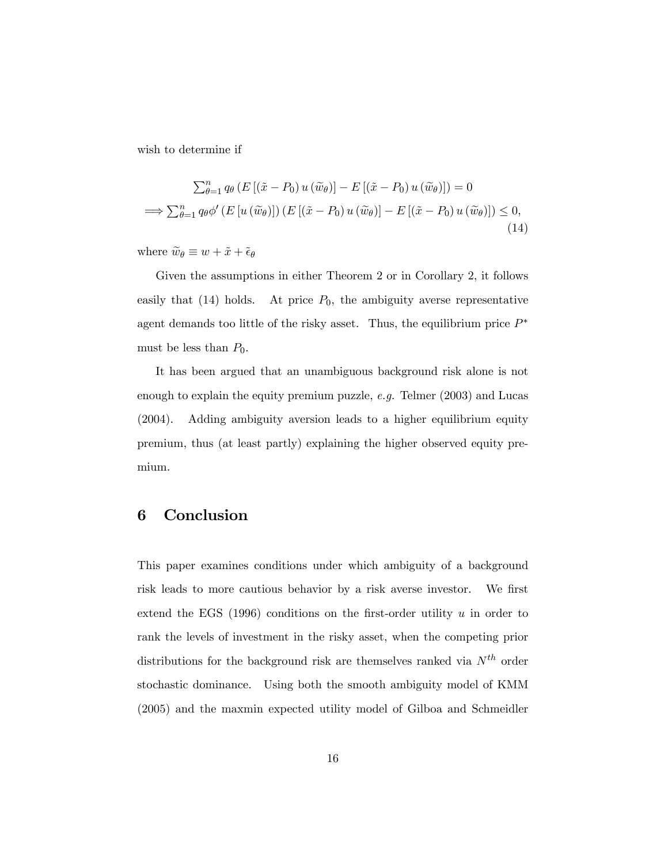wish to determine if

$$
\sum_{\theta=1}^{n} q_{\theta} \left( E \left[ (\tilde{x} - P_0) u (\tilde{w}_{\theta}) \right] - E \left[ (\tilde{x} - P_0) u (\tilde{w}_{\theta}) \right] \right) = 0
$$
  
\n
$$
\implies \sum_{\theta=1}^{n} q_{\theta} \phi' \left( E \left[ u (\tilde{w}_{\theta}) \right] \right) \left( E \left[ (\tilde{x} - P_0) u (\tilde{w}_{\theta}) \right] - E \left[ (\tilde{x} - P_0) u (\tilde{w}_{\theta}) \right] \right) \leq 0,
$$
\n(14)

where  $\widetilde{w}_{\theta} \equiv w + \widetilde{x} + \widetilde{\epsilon}_{\theta}$ 

Given the assumptions in either Theorem 2 or in Corollary 2, it follows easily that  $(14)$  holds. At price  $P_0$ , the ambiguity averse representative agent demands too little of the risky asset. Thus, the equilibrium price  $P^*$ must be less than  $P_0$ .

It has been argued that an unambiguous background risk alone is not enough to explain the equity premium puzzle, e.g. Telmer (2003) and Lucas (2004). Adding ambiguity aversion leads to a higher equilibrium equity premium, thus (at least partly) explaining the higher observed equity premium.

## 6 Conclusion

This paper examines conditions under which ambiguity of a background risk leads to more cautious behavior by a risk averse investor. We first extend the EGS  $(1996)$  conditions on the first-order utility u in order to rank the levels of investment in the risky asset, when the competing prior distributions for the background risk are themselves ranked via  $N^{th}$  order stochastic dominance. Using both the smooth ambiguity model of KMM (2005) and the maxmin expected utility model of Gilboa and Schmeidler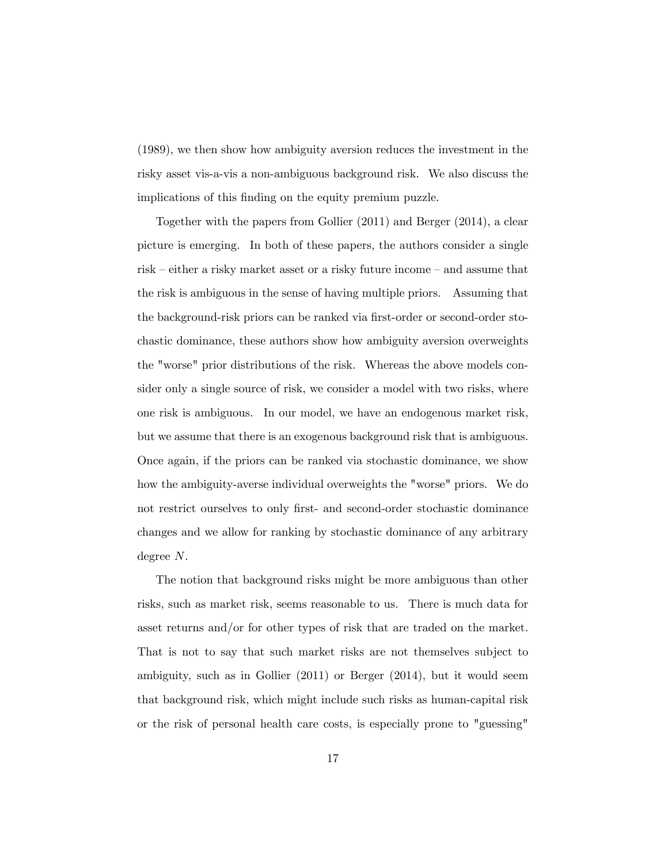(1989), we then show how ambiguity aversion reduces the investment in the risky asset vis-a-vis a non-ambiguous background risk. We also discuss the implications of this finding on the equity premium puzzle.

Together with the papers from Gollier (2011) and Berger (2014), a clear picture is emerging. In both of these papers, the authors consider a single risk  $-$  either a risky market asset or a risky future income  $-$  and assume that the risk is ambiguous in the sense of having multiple priors. Assuming that the background-risk priors can be ranked via first-order or second-order stochastic dominance, these authors show how ambiguity aversion overweights the "worse" prior distributions of the risk. Whereas the above models consider only a single source of risk, we consider a model with two risks, where one risk is ambiguous. In our model, we have an endogenous market risk, but we assume that there is an exogenous background risk that is ambiguous. Once again, if the priors can be ranked via stochastic dominance, we show how the ambiguity-averse individual overweights the "worse" priors. We do not restrict ourselves to only first- and second-order stochastic dominance changes and we allow for ranking by stochastic dominance of any arbitrary degree N.

The notion that background risks might be more ambiguous than other risks, such as market risk, seems reasonable to us. There is much data for asset returns and/or for other types of risk that are traded on the market. That is not to say that such market risks are not themselves subject to ambiguity, such as in Gollier (2011) or Berger (2014), but it would seem that background risk, which might include such risks as human-capital risk or the risk of personal health care costs, is especially prone to "guessing"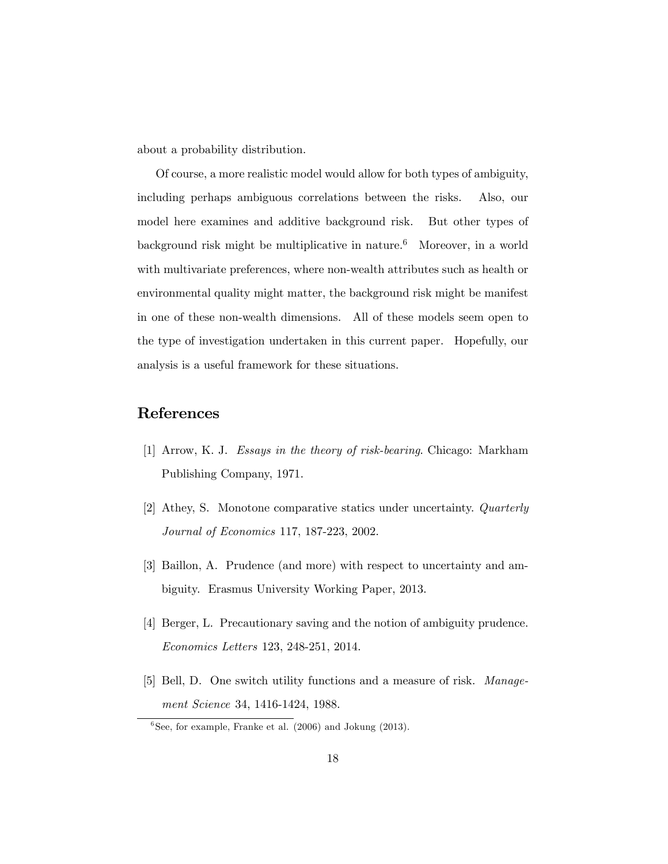about a probability distribution.

Of course, a more realistic model would allow for both types of ambiguity, including perhaps ambiguous correlations between the risks. Also, our model here examines and additive background risk. But other types of background risk might be multiplicative in nature.<sup>6</sup> Moreover, in a world with multivariate preferences, where non-wealth attributes such as health or environmental quality might matter, the background risk might be manifest in one of these non-wealth dimensions. All of these models seem open to the type of investigation undertaken in this current paper. Hopefully, our analysis is a useful framework for these situations.

## References

- [1] Arrow, K. J. Essays in the theory of risk-bearing. Chicago: Markham Publishing Company, 1971.
- [2] Athey, S. Monotone comparative statics under uncertainty. Quarterly Journal of Economics 117, 187-223, 2002.
- [3] Baillon, A. Prudence (and more) with respect to uncertainty and ambiguity. Erasmus University Working Paper, 2013.
- [4] Berger, L. Precautionary saving and the notion of ambiguity prudence. Economics Letters 123, 248-251, 2014.
- [5] Bell, D. One switch utility functions and a measure of risk. Management Science 34, 1416-1424, 1988.

<sup>6</sup> See, for example, Franke et al. (2006) and Jokung (2013).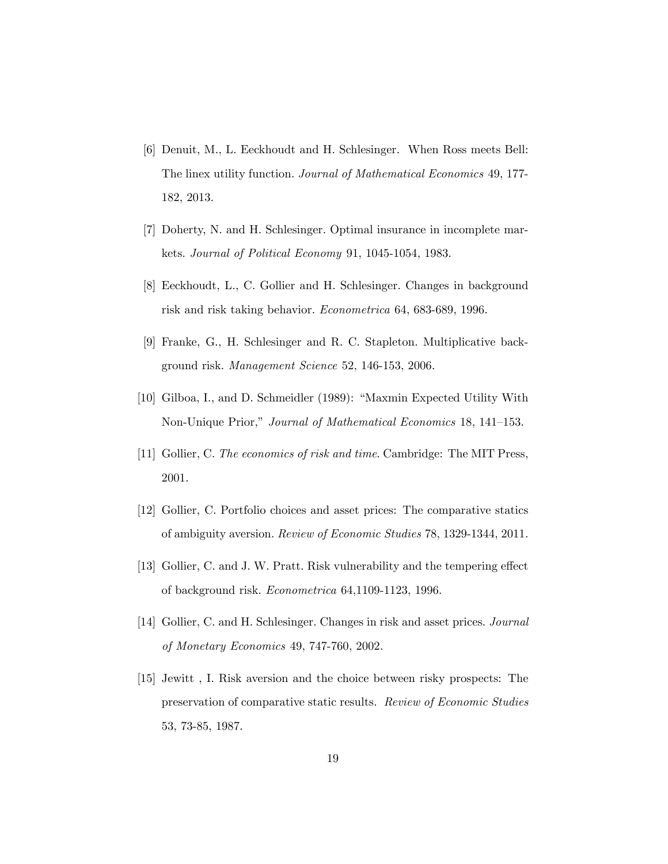- [6] Denuit, M., L. Eeckhoudt and H. Schlesinger. When Ross meets Bell: The linex utility function. Journal of Mathematical Economics 49, 177- 182, 2013.
- [7] Doherty, N. and H. Schlesinger. Optimal insurance in incomplete markets. Journal of Political Economy 91, 1045-1054, 1983.
- [8] Eeckhoudt, L., C. Gollier and H. Schlesinger. Changes in background risk and risk taking behavior. Econometrica 64, 683-689, 1996.
- [9] Franke, G., H. Schlesinger and R. C. Stapleton. Multiplicative background risk. Management Science 52, 146-153, 2006.
- [10] Gilboa, I., and D. Schmeidler (1989): "Maxmin Expected Utility With Non-Unique Prior," Journal of Mathematical Economics 18, 141–153.
- [11] Gollier, C. The economics of risk and time. Cambridge: The MIT Press, 2001.
- [12] Gollier, C. Portfolio choices and asset prices: The comparative statics of ambiguity aversion. Review of Economic Studies 78, 1329-1344, 2011.
- [13] Gollier, C. and J. W. Pratt. Risk vulnerability and the tempering effect of background risk. Econometrica 64,1109-1123, 1996.
- [14] Gollier, C. and H. Schlesinger. Changes in risk and asset prices. Journal of Monetary Economics 49, 747-760, 2002.
- [15] Jewitt , I. Risk aversion and the choice between risky prospects: The preservation of comparative static results. Review of Economic Studies 53, 73-85, 1987.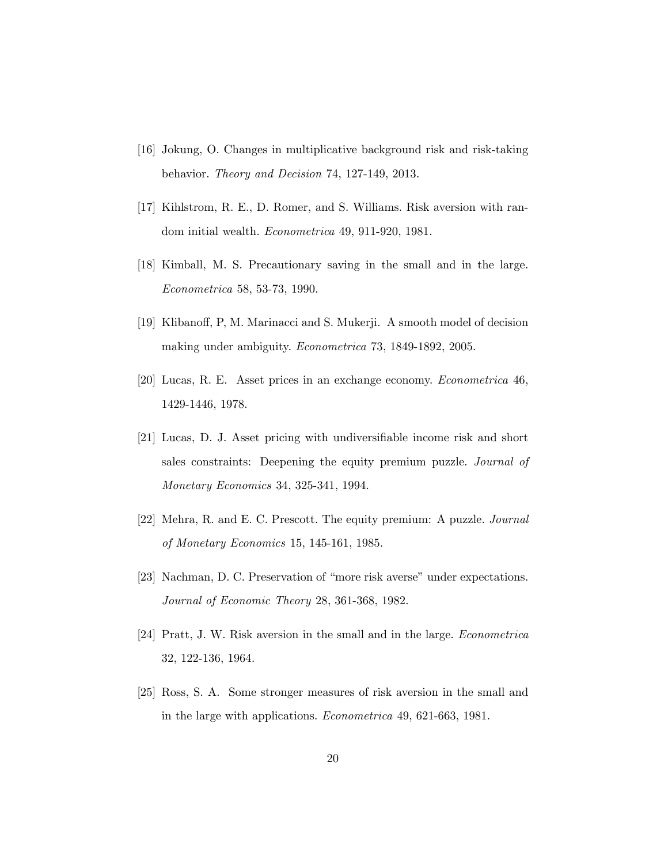- [16] Jokung, O. Changes in multiplicative background risk and risk-taking behavior. Theory and Decision 74, 127-149, 2013.
- [17] Kihlstrom, R. E., D. Romer, and S. Williams. Risk aversion with random initial wealth. Econometrica 49, 911-920, 1981.
- [18] Kimball, M. S. Precautionary saving in the small and in the large. Econometrica 58, 53-73, 1990.
- [19] Klibanoff, P, M. Marinacci and S. Mukerji. A smooth model of decision making under ambiguity. Econometrica 73, 1849-1892, 2005.
- [20] Lucas, R. E. Asset prices in an exchange economy. Econometrica 46, 1429-1446, 1978.
- [21] Lucas, D. J. Asset pricing with undiversifiable income risk and short sales constraints: Deepening the equity premium puzzle. Journal of Monetary Economics 34, 325-341, 1994.
- [22] Mehra, R. and E. C. Prescott. The equity premium: A puzzle. Journal of Monetary Economics 15, 145-161, 1985.
- [23] Nachman, D. C. Preservation of "more risk averse" under expectations. Journal of Economic Theory 28, 361-368, 1982.
- [24] Pratt, J. W. Risk aversion in the small and in the large. Econometrica 32, 122-136, 1964.
- [25] Ross, S. A. Some stronger measures of risk aversion in the small and in the large with applications. Econometrica 49, 621-663, 1981.